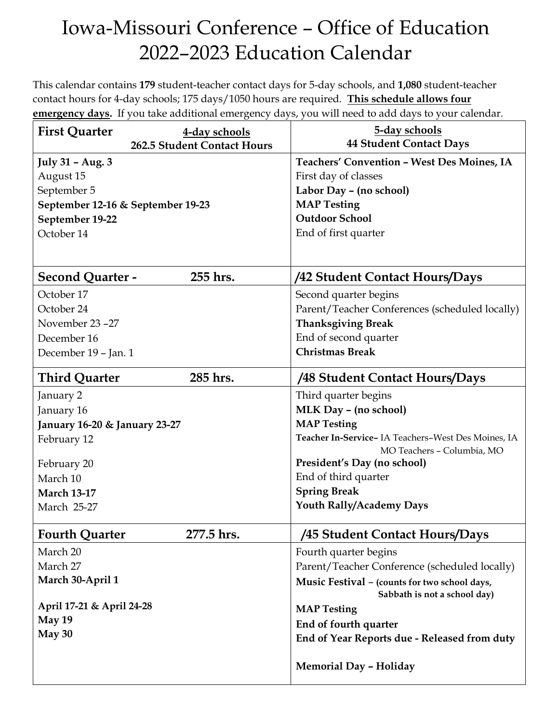## Iowa-Missouri Conference – Office of Education 2022–2023 Education Calendar

This calendar contains **179** student-teacher contact days for 5-day schools, and **1,080** student-teacher contact hours for 4-day schools; 175 days/1050 hours are required. **This schedule allows four emergency days.** If you take additional emergency days, you will need to add days to your calendar.

| <b>First Quarter</b>                         | 4-day schools<br>262.5 Student Contact Hours | 5-day schools<br><b>44 Student Contact Days</b>                                               |
|----------------------------------------------|----------------------------------------------|-----------------------------------------------------------------------------------------------|
| July 31 - Aug. 3<br>August 15<br>September 5 |                                              | Teachers' Convention - West Des Moines, IA<br>First day of classes<br>Labor Day - (no school) |
| September 12-16 & September 19-23            |                                              | <b>MAP Testing</b>                                                                            |
| September 19-22                              |                                              | <b>Outdoor School</b>                                                                         |
| October 14                                   |                                              | End of first quarter                                                                          |
|                                              |                                              |                                                                                               |
| <b>Second Quarter -</b>                      | 255 hrs.                                     | /42 Student Contact Hours/Days                                                                |
| October 17                                   |                                              | Second quarter begins                                                                         |
| October 24                                   |                                              | Parent/Teacher Conferences (scheduled locally)                                                |
| November 23-27                               |                                              | <b>Thanksgiving Break</b>                                                                     |
| December 16                                  |                                              | End of second quarter                                                                         |
| December 19 - Jan. 1                         |                                              | <b>Christmas Break</b>                                                                        |
| <b>Third Quarter</b>                         | 285 hrs.                                     | /48 Student Contact Hours/Days                                                                |
| January 2                                    |                                              | Third quarter begins                                                                          |
| January 16                                   |                                              | MLK Day - (no school)                                                                         |
| January 16-20 & January 23-27                |                                              | <b>MAP Testing</b>                                                                            |
| February 12                                  |                                              | Teacher In-Service- IA Teachers-West Des Moines, IA<br>MO Teachers - Columbia, MO             |
| February 20                                  |                                              | President's Day (no school)                                                                   |
| March 10                                     |                                              | End of third quarter                                                                          |
| <b>March 13-17</b>                           |                                              | <b>Spring Break</b>                                                                           |
| March 25-27                                  |                                              | Youth Rally/Academy Days                                                                      |
| <b>Fourth Quarter</b>                        | 277.5 hrs.                                   | /45 Student Contact Hours/Days                                                                |
| March 20                                     |                                              | Fourth quarter begins                                                                         |
| March 27                                     |                                              | Parent/Teacher Conference (scheduled locally)                                                 |
| March 30-April 1                             |                                              | Music Festival - (counts for two school days,                                                 |
|                                              |                                              | Sabbath is not a school day)                                                                  |
| April 17-21 & April 24-28                    |                                              | <b>MAP Testing</b>                                                                            |
| May 19                                       |                                              | End of fourth quarter                                                                         |
| May 30                                       |                                              | End of Year Reports due - Released from duty                                                  |
|                                              |                                              | <b>Memorial Day - Holiday</b>                                                                 |